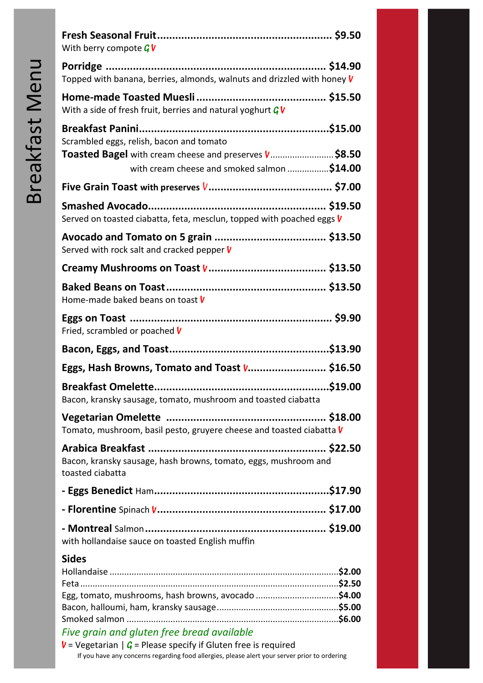| With berry compote $G$ V                                                                                      |
|---------------------------------------------------------------------------------------------------------------|
| Topped with banana, berries, almonds, walnuts and drizzled with honey V                                       |
| With a side of fresh fruit, berries and natural yoghurt $G$ V                                                 |
| Scrambled eggs, relish, bacon and tomato                                                                      |
| Toasted Bagel with cream cheese and preserves <i>V</i> .\$8.50<br>with cream cheese and smoked salmon \$14.00 |
|                                                                                                               |
| Served on toasted ciabatta, feta, mesclun, topped with poached eggs V                                         |
| Served with rock salt and cracked pepper V                                                                    |
|                                                                                                               |
| Home-made baked beans on toast V                                                                              |
| Fried, scrambled or poached V                                                                                 |
|                                                                                                               |
| Eggs, Hash Browns, Tomato and Toast V \$16.50                                                                 |
| Bacon, kransky sausage, tomato, mushroom and toasted ciabatta                                                 |
| Tomato, mushroom, basil pesto, gruyere cheese and toasted ciabatta V                                          |
|                                                                                                               |
| Bacon, kransky sausage, hash browns, tomato, eggs, mushroom and<br>toasted ciabatta                           |
|                                                                                                               |
|                                                                                                               |
| with hollandaise sauce on toasted English muffin                                                              |
| <b>Sides</b>                                                                                                  |
|                                                                                                               |
| Egg, tomato, mushrooms, hash browns, avocado \$4.00                                                           |
|                                                                                                               |
| Five grain and gluten free bread available                                                                    |

**V** = Vegetarian  $|G =$  Please specify if Gluten free is required If you have any concerns regarding food allergies, please alert your server prior to ordering